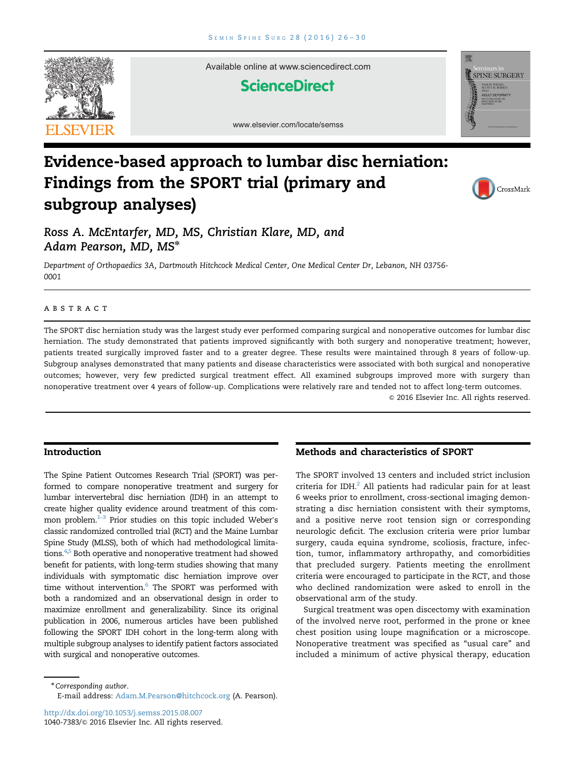

Available online at www.sciencedirect.com

# **ScienceDirect**



www.elsevier.com/locate/semss

# Evidence-based approach to lumbar disc herniation: Findings from the SPORT trial (primary and subgroup analyses)



Ross A. McEntarfer, MD, MS, Christian Klare, MD, and Adam Pearson, MD, MS\*

Department of Orthopaedics 3A, Dartmouth Hitchcock Medical Center, One Medical Center Dr, Lebanon, NH 03756- 0001

#### abstract

The SPORT disc herniation study was the largest study ever performed comparing surgical and nonoperative outcomes for lumbar disc herniation. The study demonstrated that patients improved significantly with both surgery and nonoperative treatment; however, patients treated surgically improved faster and to a greater degree. These results were maintained through 8 years of follow-up. Subgroup analyses demonstrated that many patients and disease characteristics were associated with both surgical and nonoperative outcomes; however, very few predicted surgical treatment effect. All examined subgroups improved more with surgery than nonoperative treatment over 4 years of follow-up. Complications were relatively rare and tended not to affect long-term outcomes.

 $©$  2016 Elsevier Inc. All rights reserved.

## Introduction

The Spine Patient Outcomes Research Trial (SPORT) was performed to compare nonoperative treatment and surgery for lumbar intervertebral disc herniation (IDH) in an attempt to create higher quality evidence around treatment of this common problem.<sup>1-3</sup> Prior studies on this topic included Weber's classic randomized controlled trial (RCT) and the Maine Lumbar Spine Study (MLSS), both of which had methodological limita-tions.<sup>[4,5](#page-4-0)</sup> Both operative and nonoperative treatment had showed benefit for patients, with long-term studies showing that many individuals with symptomatic disc herniation improve over time without intervention.<sup>[6](#page-4-0)</sup> The SPORT was performed with both a randomized and an observational design in order to maximize enrollment and generalizability. Since its original publication in 2006, numerous articles have been published following the SPORT IDH cohort in the long-term along with multiple subgroup analyses to identify patient factors associated with surgical and nonoperative outcomes.

The SPORT involved 13 centers and included strict inclusion criteria for IDH.<sup>2</sup> All patients had radicular pain for at least 6 weeks prior to enrollment, cross-sectional imaging demonstrating a disc herniation consistent with their symptoms, and a positive nerve root tension sign or corresponding neurologic deficit. The exclusion criteria were prior lumbar surgery, cauda equina syndrome, scoliosis, fracture, infection, tumor, inflammatory arthropathy, and comorbidities that precluded surgery. Patients meeting the enrollment criteria were encouraged to participate in the RCT, and those who declined randomization were asked to enroll in the observational arm of the study.

Surgical treatment was open discectomy with examination of the involved nerve root, performed in the prone or knee chest position using loupe magnification or a microscope. Nonoperative treatment was specified as "usual care" and included a minimum of active physical therapy, education

Methods and characteristics of SPORT

<sup>\*</sup>Corresponding author.

E-mail address: [Adam.M.Pearson@hitchcock.org](mailto:Adam.M.Pearson@hitchcock.org) (A. Pearson).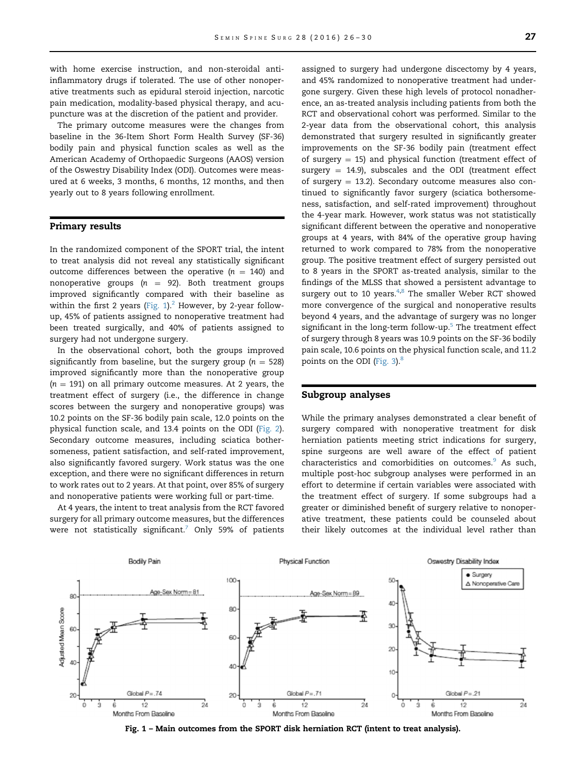with home exercise instruction, and non-steroidal antiinflammatory drugs if tolerated. The use of other nonoperative treatments such as epidural steroid injection, narcotic pain medication, modality-based physical therapy, and acupuncture was at the discretion of the patient and provider.

The primary outcome measures were the changes from baseline in the 36-Item Short Form Health Survey (SF-36) bodily pain and physical function scales as well as the American Academy of Orthopaedic Surgeons (AAOS) version of the Oswestry Disability Index (ODI). Outcomes were measured at 6 weeks, 3 months, 6 months, 12 months, and then yearly out to 8 years following enrollment.

#### Primary results

In the randomized component of the SPORT trial, the intent to treat analysis did not reveal any statistically significant outcome differences between the operative ( $n = 140$ ) and nonoperative groups ( $n = 92$ ). Both treatment groups improved significantly compared with their baseline as within the first [2](#page-4-0) years (Fig.  $1$ ).<sup>2</sup> However, by 2-year followup, 45% of patients assigned to nonoperative treatment had been treated surgically, and 40% of patients assigned to surgery had not undergone surgery.

In the observational cohort, both the groups improved significantly from baseline, but the surgery group ( $n = 528$ ) improved significantly more than the nonoperative group  $(n = 191)$  on all primary outcome measures. At 2 years, the treatment effect of surgery (i.e., the difference in change scores between the surgery and nonoperative groups) was 10.2 points on the SF-36 bodily pain scale, 12.0 points on the physical function scale, and 13.4 points on the ODI ([Fig. 2](#page-2-0)). Secondary outcome measures, including sciatica bothersomeness, patient satisfaction, and self-rated improvement, also significantly favored surgery. Work status was the one exception, and there were no significant differences in return to work rates out to 2 years. At that point, over 85% of surgery and nonoperative patients were working full or part-time.

At 4 years, the intent to treat analysis from the RCT favored surgery for all primary outcome measures, but the differences were not statistically significant.<sup>[7](#page-4-0)</sup> Only 59% of patients assigned to surgery had undergone discectomy by 4 years, and 45% randomized to nonoperative treatment had undergone surgery. Given these high levels of protocol nonadherence, an as-treated analysis including patients from both the RCT and observational cohort was performed. Similar to the 2-year data from the observational cohort, this analysis demonstrated that surgery resulted in significantly greater improvements on the SF-36 bodily pain (treatment effect of surgery  $= 15$ ) and physical function (treatment effect of surgery  $= 14.9$ ), subscales and the ODI (treatment effect of surgery  $= 13.2$ ). Secondary outcome measures also continued to significantly favor surgery (sciatica bothersomeness, satisfaction, and self-rated improvement) throughout the 4-year mark. However, work status was not statistically significant different between the operative and nonoperative groups at 4 years, with 84% of the operative group having returned to work compared to 78% from the nonoperative group. The positive treatment effect of surgery persisted out to 8 years in the SPORT as-treated analysis, similar to the findings of the MLSS that showed a persistent advantage to surgery out to 10 years. $4,8$  $4,8$  The smaller Weber RCT showed more convergence of the surgical and nonoperative results beyond 4 years, and the advantage of surgery was no longer significant in the long-term follow-up. $5$  The treatment effect of surgery through 8 years was 10.9 points on the SF-36 bodily pain scale, 10.6 points on the physical function scale, and 11.2 points on the ODI ([Fig. 3](#page-2-0))[.8](#page-4-0)

#### Subgroup analyses

While the primary analyses demonstrated a clear benefit of surgery compared with nonoperative treatment for disk herniation patients meeting strict indications for surgery, spine surgeons are well aware of the effect of patient characteristics and comorbidities on outcomes.<sup>[9](#page-4-0)</sup> As such, multiple post-hoc subgroup analyses were performed in an effort to determine if certain variables were associated with the treatment effect of surgery. If some subgroups had a greater or diminished benefit of surgery relative to nonoperative treatment, these patients could be counseled about their likely outcomes at the individual level rather than



Fig. 1 – Main outcomes from the SPORT disk herniation RCT (intent to treat analysis).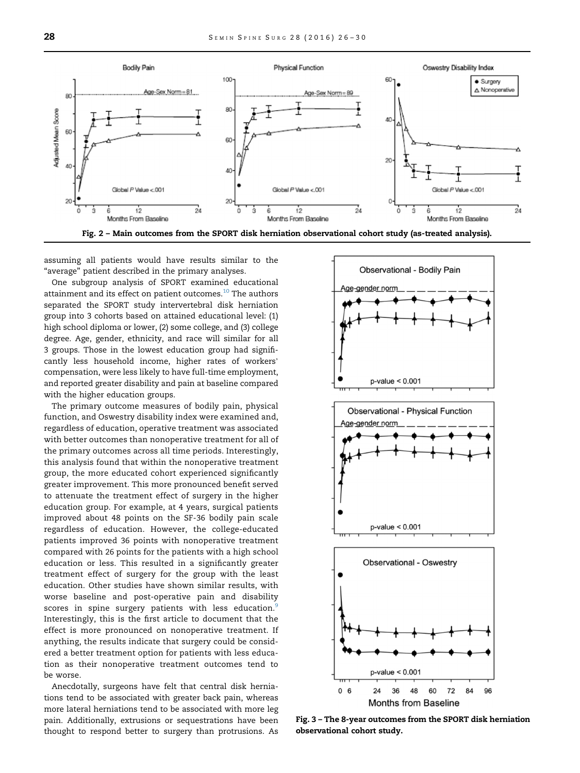<span id="page-2-0"></span>

assuming all patients would have results similar to the "average" patient described in the primary analyses.

One subgroup analysis of SPORT examined educational attainment and its effect on patient outcomes.<sup>[10](#page-4-0)</sup> The authors separated the SPORT study intervertebral disk herniation group into 3 cohorts based on attained educational level: (1) high school diploma or lower, (2) some college, and (3) college degree. Age, gender, ethnicity, and race will similar for all 3 groups. Those in the lowest education group had significantly less household income, higher rates of workers' compensation, were less likely to have full-time employment, and reported greater disability and pain at baseline compared with the higher education groups.

The primary outcome measures of bodily pain, physical function, and Oswestry disability index were examined and, regardless of education, operative treatment was associated with better outcomes than nonoperative treatment for all of the primary outcomes across all time periods. Interestingly, this analysis found that within the nonoperative treatment group, the more educated cohort experienced significantly greater improvement. This more pronounced benefit served to attenuate the treatment effect of surgery in the higher education group. For example, at 4 years, surgical patients improved about 48 points on the SF-36 bodily pain scale regardless of education. However, the college-educated patients improved 36 points with nonoperative treatment compared with 26 points for the patients with a high school education or less. This resulted in a significantly greater treatment effect of surgery for the group with the least education. Other studies have shown similar results, with worse baseline and post-operative pain and disability scores in spine surgery patients with less education.<sup>[9](#page-4-0)</sup> Interestingly, this is the first article to document that the effect is more pronounced on nonoperative treatment. If anything, the results indicate that surgery could be considered a better treatment option for patients with less education as their nonoperative treatment outcomes tend to be worse.

Anecdotally, surgeons have felt that central disk herniations tend to be associated with greater back pain, whereas more lateral herniations tend to be associated with more leg pain. Additionally, extrusions or sequestrations have been thought to respond better to surgery than protrusions. As



Fig. 3 – The 8-year outcomes from the SPORT disk herniation observational cohort study.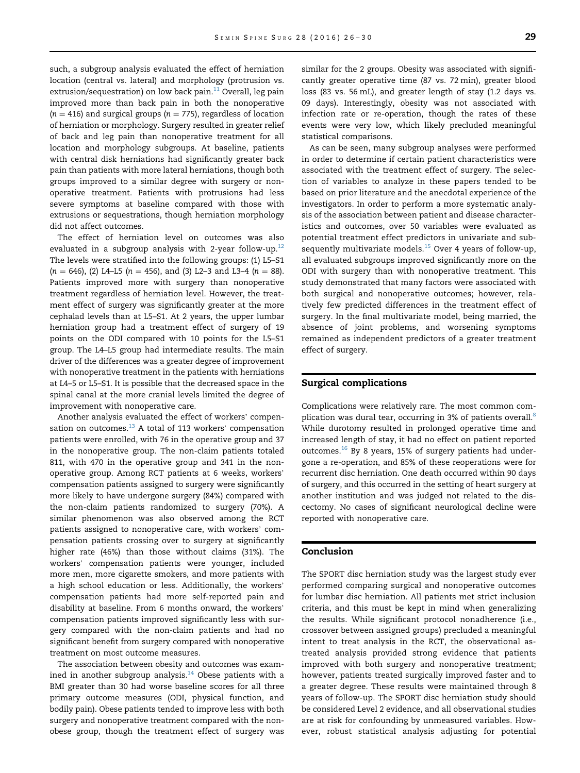such, a subgroup analysis evaluated the effect of herniation location (central vs. lateral) and morphology (protrusion vs.  $extusion/sequencesuration)$  on low back pain. $11$  Overall, leg pain improved more than back pain in both the nonoperative ( $n = 416$ ) and surgical groups ( $n = 775$ ), regardless of location of herniation or morphology. Surgery resulted in greater relief of back and leg pain than nonoperative treatment for all location and morphology subgroups. At baseline, patients with central disk herniations had significantly greater back pain than patients with more lateral herniations, though both groups improved to a similar degree with surgery or nonoperative treatment. Patients with protrusions had less severe symptoms at baseline compared with those with extrusions or sequestrations, though herniation morphology did not affect outcomes.

The effect of herniation level on outcomes was also evaluated in a subgroup analysis with 2-year follow-up.<sup>12</sup> The levels were stratified into the following groups: (1) L5–S1  $(n = 646)$ , (2) L4–L5 (n = 456), and (3) L2–3 and L3–4 (n = 88). Patients improved more with surgery than nonoperative treatment regardless of herniation level. However, the treatment effect of surgery was significantly greater at the more cephalad levels than at L5–S1. At 2 years, the upper lumbar herniation group had a treatment effect of surgery of 19 points on the ODI compared with 10 points for the L5–S1 group. The L4–L5 group had intermediate results. The main driver of the differences was a greater degree of improvement with nonoperative treatment in the patients with herniations at L4–5 or L5–S1. It is possible that the decreased space in the spinal canal at the more cranial levels limited the degree of improvement with nonoperative care.

Another analysis evaluated the effect of workers' compensation on outcomes. $^{13}$  $^{13}$  $^{13}$  A total of 113 workers' compensation patients were enrolled, with 76 in the operative group and 37 in the nonoperative group. The non-claim patients totaled 811, with 470 in the operative group and 341 in the nonoperative group. Among RCT patients at 6 weeks, workers' compensation patients assigned to surgery were significantly more likely to have undergone surgery (84%) compared with the non-claim patients randomized to surgery (70%). A similar phenomenon was also observed among the RCT patients assigned to nonoperative care, with workers' compensation patients crossing over to surgery at significantly higher rate (46%) than those without claims (31%). The workers' compensation patients were younger, included more men, more cigarette smokers, and more patients with a high school education or less. Additionally, the workers' compensation patients had more self-reported pain and disability at baseline. From 6 months onward, the workers' compensation patients improved significantly less with surgery compared with the non-claim patients and had no significant benefit from surgery compared with nonoperative treatment on most outcome measures.

The association between obesity and outcomes was examined in another subgroup analysis. $14$  Obese patients with a BMI greater than 30 had worse baseline scores for all three primary outcome measures (ODI, physical function, and bodily pain). Obese patients tended to improve less with both surgery and nonoperative treatment compared with the nonobese group, though the treatment effect of surgery was similar for the 2 groups. Obesity was associated with significantly greater operative time (87 vs. 72 min), greater blood loss (83 vs. 56 mL), and greater length of stay (1.2 days vs. 09 days). Interestingly, obesity was not associated with infection rate or re-operation, though the rates of these events were very low, which likely precluded meaningful statistical comparisons.

As can be seen, many subgroup analyses were performed in order to determine if certain patient characteristics were associated with the treatment effect of surgery. The selection of variables to analyze in these papers tended to be based on prior literature and the anecdotal experience of the investigators. In order to perform a more systematic analysis of the association between patient and disease characteristics and outcomes, over 50 variables were evaluated as potential treatment effect predictors in univariate and subsequently multivariate models. $15$  Over 4 years of follow-up, all evaluated subgroups improved significantly more on the ODI with surgery than with nonoperative treatment. This study demonstrated that many factors were associated with both surgical and nonoperative outcomes; however, relatively few predicted differences in the treatment effect of surgery. In the final multivariate model, being married, the absence of joint problems, and worsening symptoms remained as independent predictors of a greater treatment effect of surgery.

#### Surgical complications

Complications were relatively rare. The most common com-plication was dural tear, occurring in 3% of patients overall.<sup>[8](#page-4-0)</sup> While durotomy resulted in prolonged operative time and increased length of stay, it had no effect on patient reported outcomes. $16$  By 8 years, 15% of surgery patients had undergone a re-operation, and 85% of these reoperations were for recurrent disc herniation. One death occurred within 90 days of surgery, and this occurred in the setting of heart surgery at another institution and was judged not related to the discectomy. No cases of significant neurological decline were reported with nonoperative care.

#### Conclusion

The SPORT disc herniation study was the largest study ever performed comparing surgical and nonoperative outcomes for lumbar disc herniation. All patients met strict inclusion criteria, and this must be kept in mind when generalizing the results. While significant protocol nonadherence (i.e., crossover between assigned groups) precluded a meaningful intent to treat analysis in the RCT, the observational astreated analysis provided strong evidence that patients improved with both surgery and nonoperative treatment; however, patients treated surgically improved faster and to a greater degree. These results were maintained through 8 years of follow-up. The SPORT disc herniation study should be considered Level 2 evidence, and all observational studies are at risk for confounding by unmeasured variables. However, robust statistical analysis adjusting for potential